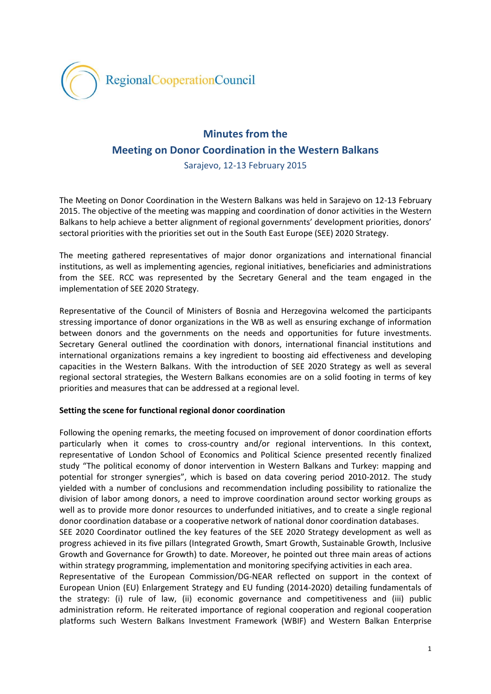

# **Minutes from the Meeting on Donor Coordination in the Western Balkans**

Sarajevo, 12-13 February 2015

The Meeting on Donor Coordination in the Western Balkans was held in Sarajevo on 12-13 February 2015. The objective of the meeting was mapping and coordination of donor activities in the Western Balkans to help achieve a better alignment of regional governments' development priorities, donors' sectoral priorities with the priorities set out in the South East Europe (SEE) 2020 Strategy.

The meeting gathered representatives of major donor organizations and international financial institutions, as well as implementing agencies, regional initiatives, beneficiaries and administrations from the SEE. RCC was represented by the Secretary General and the team engaged in the implementation of SEE 2020 Strategy.

Representative of the Council of Ministers of Bosnia and Herzegovina welcomed the participants stressing importance of donor organizations in the WB as well as ensuring exchange of information between donors and the governments on the needs and opportunities for future investments. Secretary General outlined the coordination with donors, international financial institutions and international organizations remains a key ingredient to boosting aid effectiveness and developing capacities in the Western Balkans. With the introduction of SEE 2020 Strategy as well as several regional sectoral strategies, the Western Balkans economies are on a solid footing in terms of key priorities and measures that can be addressed at a regional level.

## **Setting the scene for functional regional donor coordination**

Following the opening remarks, the meeting focused on improvement of donor coordination efforts particularly when it comes to cross-country and/or regional interventions. In this context, representative of London School of Economics and Political Science presented recently finalized study "The political economy of donor intervention in Western Balkans and Turkey: mapping and potential for stronger synergies", which is based on data covering period 2010-2012. The study yielded with a number of conclusions and recommendation including possibility to rationalize the division of labor among donors, a need to improve coordination around sector working groups as well as to provide more donor resources to underfunded initiatives, and to create a single regional donor coordination database or a cooperative network of national donor coordination databases. SEE 2020 Coordinator outlined the key features of the SEE 2020 Strategy development as well as progress achieved in its five pillars (Integrated Growth, Smart Growth, Sustainable Growth, Inclusive Growth and Governance for Growth) to date. Moreover, he pointed out three main areas of actions within strategy programming, implementation and monitoring specifying activities in each area.

Representative of the European Commission/DG-NEAR reflected on support in the context of European Union (EU) Enlargement Strategy and EU funding (2014-2020) detailing fundamentals of the strategy: (i) rule of law, (ii) economic governance and competitiveness and (iii) public administration reform. He reiterated importance of regional cooperation and regional cooperation platforms such Western Balkans Investment Framework (WBIF) and Western Balkan Enterprise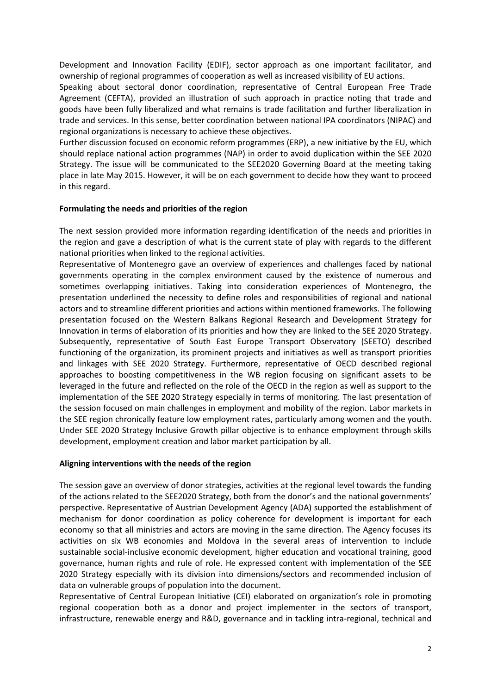Development and Innovation Facility (EDIF), sector approach as one important facilitator, and ownership of regional programmes of cooperation as well as increased visibility of EU actions.

Speaking about sectoral donor coordination, representative of Central European Free Trade Agreement (CEFTA), provided an illustration of such approach in practice noting that trade and goods have been fully liberalized and what remains is trade facilitation and further liberalization in trade and services. In this sense, better coordination between national IPA coordinators (NIPAC) and regional organizations is necessary to achieve these objectives.

Further discussion focused on economic reform programmes (ERP), a new initiative by the EU, which should replace national action programmes (NAP) in order to avoid duplication within the SEE 2020 Strategy. The issue will be communicated to the SEE2020 Governing Board at the meeting taking place in late May 2015. However, it will be on each government to decide how they want to proceed in this regard.

#### **Formulating the needs and priorities of the region**

The next session provided more information regarding identification of the needs and priorities in the region and gave a description of what is the current state of play with regards to the different national priorities when linked to the regional activities.

Representative of Montenegro gave an overview of experiences and challenges faced by national governments operating in the complex environment caused by the existence of numerous and sometimes overlapping initiatives. Taking into consideration experiences of Montenegro, the presentation underlined the necessity to define roles and responsibilities of regional and national actors and to streamline different priorities and actions within mentioned frameworks. The following presentation focused on the Western Balkans Regional Research and Development Strategy for Innovation in terms of elaboration of its priorities and how they are linked to the SEE 2020 Strategy. Subsequently, representative of South East Europe Transport Observatory (SEETO) described functioning of the organization, its prominent projects and initiatives as well as transport priorities and linkages with SEE 2020 Strategy. Furthermore, representative of OECD described regional approaches to boosting competitiveness in the WB region focusing on significant assets to be leveraged in the future and reflected on the role of the OECD in the region as well as support to the implementation of the SEE 2020 Strategy especially in terms of monitoring. The last presentation of the session focused on main challenges in employment and mobility of the region. Labor markets in the SEE region chronically feature low employment rates, particularly among women and the youth. Under SEE 2020 Strategy Inclusive Growth pillar objective is to enhance employment through skills development, employment creation and labor market participation by all.

### **Aligning interventions with the needs of the region**

The session gave an overview of donor strategies, activities at the regional level towards the funding of the actions related to the SEE2020 Strategy, both from the donor's and the national governments' perspective. Representative of Austrian Development Agency (ADA) supported the establishment of mechanism for donor coordination as policy coherence for development is important for each economy so that all ministries and actors are moving in the same direction. The Agency focuses its activities on six WB economies and Moldova in the several areas of intervention to include sustainable social-inclusive economic development, higher education and vocational training, good governance, human rights and rule of role. He expressed content with implementation of the SEE 2020 Strategy especially with its division into dimensions/sectors and recommended inclusion of data on vulnerable groups of population into the document.

Representative of Central European Initiative (CEI) elaborated on organization's role in promoting regional cooperation both as a donor and project implementer in the sectors of transport, infrastructure, renewable energy and R&D, governance and in tackling intra-regional, technical and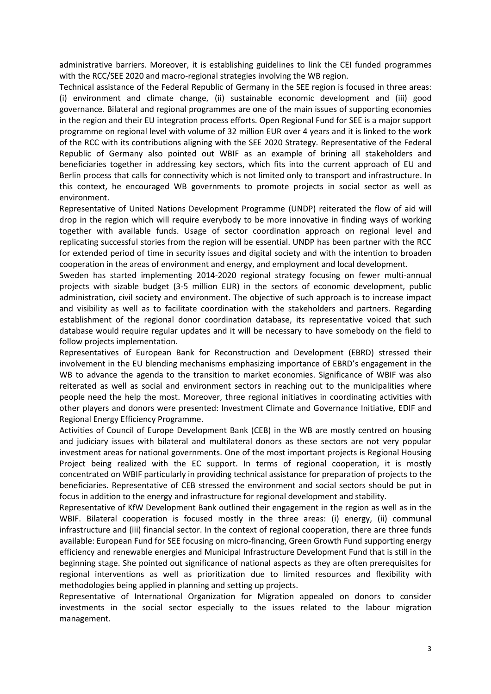administrative barriers. Moreover, it is establishing guidelines to link the CEI funded programmes with the RCC/SEE 2020 and macro-regional strategies involving the WB region.

Technical assistance of the Federal Republic of Germany in the SEE region is focused in three areas: (i) environment and climate change, (ii) sustainable economic development and (iii) good governance. Bilateral and regional programmes are one of the main issues of supporting economies in the region and their EU integration process efforts. Open Regional Fund for SEE is a major support programme on regional level with volume of 32 million EUR over 4 years and it is linked to the work of the RCC with its contributions aligning with the SEE 2020 Strategy. Representative of the Federal Republic of Germany also pointed out WBIF as an example of brining all stakeholders and beneficiaries together in addressing key sectors, which fits into the current approach of EU and Berlin process that calls for connectivity which is not limited only to transport and infrastructure. In this context, he encouraged WB governments to promote projects in social sector as well as environment.

Representative of United Nations Development Programme (UNDP) reiterated the flow of aid will drop in the region which will require everybody to be more innovative in finding ways of working together with available funds. Usage of sector coordination approach on regional level and replicating successful stories from the region will be essential. UNDP has been partner with the RCC for extended period of time in security issues and digital society and with the intention to broaden cooperation in the areas of environment and energy, and employment and local development.

Sweden has started implementing 2014-2020 regional strategy focusing on fewer multi-annual projects with sizable budget (3-5 million EUR) in the sectors of economic development, public administration, civil society and environment. The objective of such approach is to increase impact and visibility as well as to facilitate coordination with the stakeholders and partners. Regarding establishment of the regional donor coordination database, its representative voiced that such database would require regular updates and it will be necessary to have somebody on the field to follow projects implementation.

Representatives of European Bank for Reconstruction and Development (EBRD) stressed their involvement in the EU blending mechanisms emphasizing importance of EBRD's engagement in the WB to advance the agenda to the transition to market economies. Significance of WBIF was also reiterated as well as social and environment sectors in reaching out to the municipalities where people need the help the most. Moreover, three regional initiatives in coordinating activities with other players and donors were presented: Investment Climate and Governance Initiative, EDIF and Regional Energy Efficiency Programme.

Activities of Council of Europe Development Bank (CEB) in the WB are mostly centred on housing and judiciary issues with bilateral and multilateral donors as these sectors are not very popular investment areas for national governments. One of the most important projects is Regional Housing Project being realized with the EC support. In terms of regional cooperation, it is mostly concentrated on WBIF particularly in providing technical assistance for preparation of projects to the beneficiaries. Representative of CEB stressed the environment and social sectors should be put in focus in addition to the energy and infrastructure for regional development and stability.

Representative of KfW Development Bank outlined their engagement in the region as well as in the WBIF. Bilateral cooperation is focused mostly in the three areas: (i) energy, (ii) communal infrastructure and (iii) financial sector. In the context of regional cooperation, there are three funds available: European Fund for SEE focusing on micro-financing, Green Growth Fund supporting energy efficiency and renewable energies and Municipal Infrastructure Development Fund that is still in the beginning stage. She pointed out significance of national aspects as they are often prerequisites for regional interventions as well as prioritization due to limited resources and flexibility with methodologies being applied in planning and setting up projects.

Representative of International Organization for Migration appealed on donors to consider investments in the social sector especially to the issues related to the labour migration management.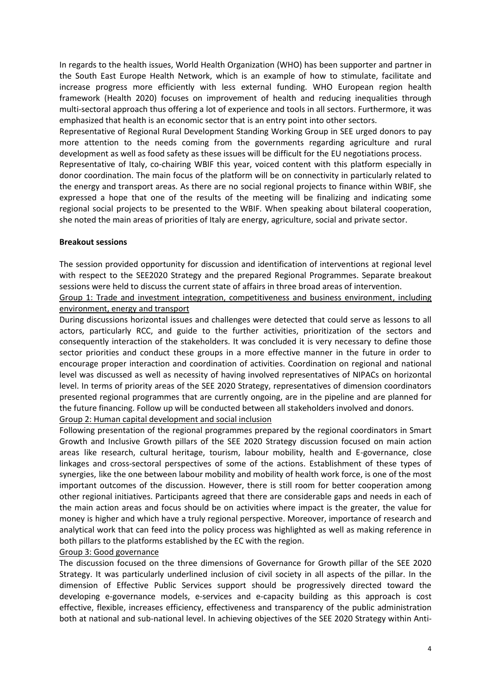In regards to the health issues, World Health Organization (WHO) has been supporter and partner in the South East Europe Health Network, which is an example of how to stimulate, facilitate and increase progress more efficiently with less external funding. WHO European region health framework (Health 2020) focuses on improvement of health and reducing inequalities through multi-sectoral approach thus offering a lot of experience and tools in all sectors. Furthermore, it was emphasized that health is an economic sector that is an entry point into other sectors.

Representative of Regional Rural Development Standing Working Group in SEE urged donors to pay more attention to the needs coming from the governments regarding agriculture and rural development as well as food safety as these issues will be difficult for the EU negotiations process.

Representative of Italy, co-chairing WBIF this year, voiced content with this platform especially in donor coordination. The main focus of the platform will be on connectivity in particularly related to the energy and transport areas. As there are no social regional projects to finance within WBIF, she expressed a hope that one of the results of the meeting will be finalizing and indicating some regional social projects to be presented to the WBIF. When speaking about bilateral cooperation, she noted the main areas of priorities of Italy are energy, agriculture, social and private sector.

### **Breakout sessions**

The session provided opportunity for discussion and identification of interventions at regional level with respect to the SEE2020 Strategy and the prepared Regional Programmes. Separate breakout sessions were held to discuss the current state of affairs in three broad areas of intervention.

Group 1: Trade and investment integration, competitiveness and business environment, including environment, energy and transport

During discussions horizontal issues and challenges were detected that could serve as lessons to all actors, particularly RCC, and guide to the further activities, prioritization of the sectors and consequently interaction of the stakeholders. It was concluded it is very necessary to define those sector priorities and conduct these groups in a more effective manner in the future in order to encourage proper interaction and coordination of activities. Coordination on regional and national level was discussed as well as necessity of having involved representatives of NIPACs on horizontal level. In terms of priority areas of the SEE 2020 Strategy, representatives of dimension coordinators presented regional programmes that are currently ongoing, are in the pipeline and are planned for the future financing. Follow up will be conducted between all stakeholders involved and donors.

Group 2: Human capital development and social inclusion

Following presentation of the regional programmes prepared by the regional coordinators in Smart Growth and Inclusive Growth pillars of the SEE 2020 Strategy discussion focused on main action areas like research, cultural heritage, tourism, labour mobility, health and E-governance, close linkages and cross-sectoral perspectives of some of the actions. Establishment of these types of synergies, like the one between labour mobility and mobility of health work force, is one of the most important outcomes of the discussion. However, there is still room for better cooperation among other regional initiatives. Participants agreed that there are considerable gaps and needs in each of the main action areas and focus should be on activities where impact is the greater, the value for money is higher and which have a truly regional perspective. Moreover, importance of research and analytical work that can feed into the policy process was highlighted as well as making reference in both pillars to the platforms established by the EC with the region.

### Group 3: Good governance

The discussion focused on the three dimensions of Governance for Growth pillar of the SEE 2020 Strategy. It was particularly underlined inclusion of civil society in all aspects of the pillar. In the dimension of Effective Public Services support should be progressively directed toward the developing e-governance models, e-services and e-capacity building as this approach is cost effective, flexible, increases efficiency, effectiveness and transparency of the public administration both at national and sub-national level. In achieving objectives of the SEE 2020 Strategy within Anti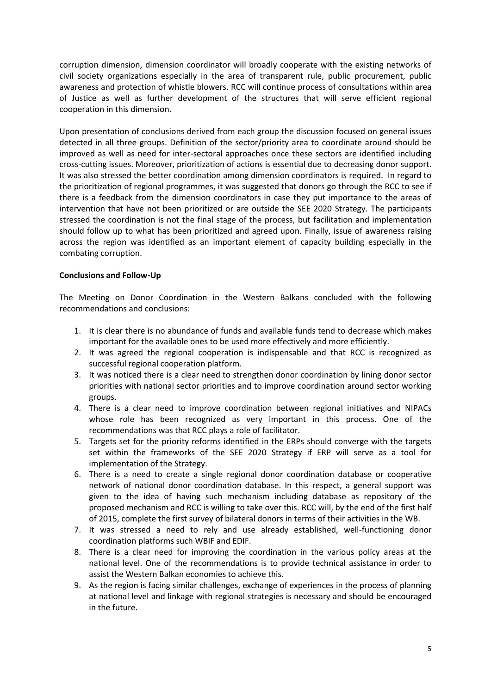corruption dimension, dimension coordinator will broadly cooperate with the existing networks of civil society organizations especially in the area of transparent rule, public procurement, public awareness and protection of whistle blowers. RCC will continue process of consultations within area of Justice as well as further development of the structures that will serve efficient regional cooperation in this dimension.

Upon presentation of conclusions derived from each group the discussion focused on general issues detected in all three groups. Definition of the sector/priority area to coordinate around should be improved as well as need for inter-sectoral approaches once these sectors are identified including cross-cutting issues. Moreover, prioritization of actions is essential due to decreasing donor support. It was also stressed the better coordination among dimension coordinators is required. In regard to the prioritization of regional programmes, it was suggested that donors go through the RCC to see if there is a feedback from the dimension coordinators in case they put importance to the areas of intervention that have not been prioritized or are outside the SEE 2020 Strategy. The participants stressed the coordination is not the final stage of the process, but facilitation and implementation should follow up to what has been prioritized and agreed upon. Finally, issue of awareness raising across the region was identified as an important element of capacity building especially in the combating corruption.

### **Conclusions and Follow-Up**

The Meeting on Donor Coordination in the Western Balkans concluded with the following recommendations and conclusions:

- 1. It is clear there is no abundance of funds and available funds tend to decrease which makes important for the available ones to be used more effectively and more efficiently.
- 2. It was agreed the regional cooperation is indispensable and that RCC is recognized as successful regional cooperation platform.
- 3. It was noticed there is a clear need to strengthen donor coordination by lining donor sector priorities with national sector priorities and to improve coordination around sector working groups.
- 4. There is a clear need to improve coordination between regional initiatives and NIPACs whose role has been recognized as very important in this process. One of the recommendations was that RCC plays a role of facilitator.
- 5. Targets set for the priority reforms identified in the ERPs should converge with the targets set within the frameworks of the SEE 2020 Strategy if ERP will serve as a tool for implementation of the Strategy.
- 6. There is a need to create a single regional donor coordination database or cooperative network of national donor coordination database. In this respect, a general support was given to the idea of having such mechanism including database as repository of the proposed mechanism and RCC is willing to take over this. RCC will, by the end of the first half of 2015, complete the first survey of bilateral donors in terms of their activities in the WB.
- 7. It was stressed a need to rely and use already established, well-functioning donor coordination platforms such WBIF and EDIF.
- 8. There is a clear need for improving the coordination in the various policy areas at the national level. One of the recommendations is to provide technical assistance in order to assist the Western Balkan economies to achieve this.
- 9. As the region is facing similar challenges, exchange of experiences in the process of planning at national level and linkage with regional strategies is necessary and should be encouraged in the future.